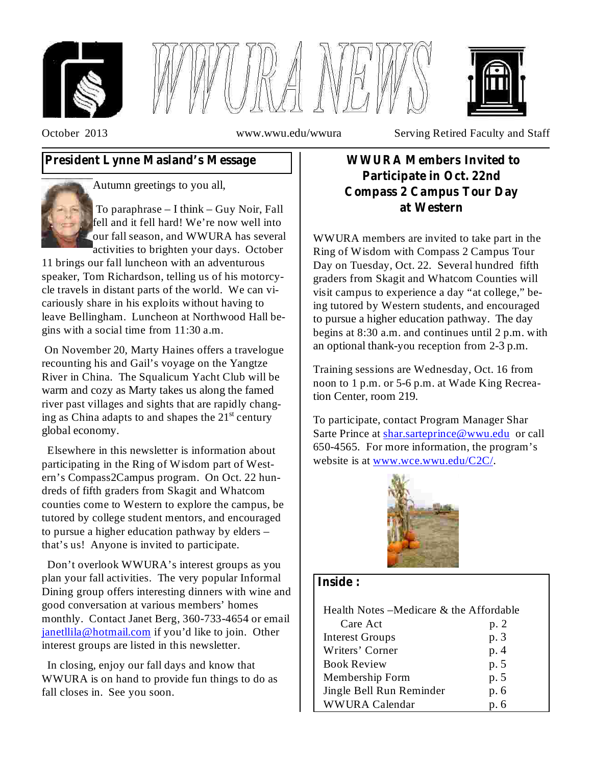





October 2013 www.wwu.edu/wwura Serving Retired Faculty and Staff

# **President Lynne Masland's Message**



Autumn greetings to you all,

To paraphrase – I think – Guy Noir, Fall fell and it fell hard! We're now well into our fall season, and WWURA has several activities to brighten your days. October

11 brings our fall luncheon with an adventurous speaker, Tom Richardson, telling us of his motorcycle travels in distant parts of the world. We can vicariously share in his exploits without having to leave Bellingham. Luncheon at Northwood Hall begins with a social time from 11:30 a.m.

On November 20, Marty Haines offers a travelogue recounting his and Gail's voyage on the Yangtze River in China. The Squalicum Yacht Club will be warm and cozy as Marty takes us along the famed river past villages and sights that are rapidly changing as China adapts to and shapes the  $21<sup>st</sup>$  century global economy.

Elsewhere in this newsletter is information about participating in the Ring of Wisdom part of Western's Compass2Campus program. On Oct. 22 hundreds of fifth graders from Skagit and Whatcom counties come to Western to explore the campus, be tutored by college student mentors, and encouraged to pursue a higher education pathway by elders – that's us! Anyone is invited to participate.

Don't overlook WWURA's interest groups as you plan your fall activities. The very popular Informal Dining group offers interesting dinners with wine and good conversation at various members' homes monthly. Contact Janet Berg, 360-733-4654 or email janetllila@hotmail.com if you'd like to join. Other interest groups are listed in this newsletter.

In closing, enjoy our fall days and know that WWURA is on hand to provide fun things to do as fall closes in. See you soon.

# **WWURA Members Invited to Participate in Oct. 22nd Compass 2 Campus Tour Day at Western**

WWURA members are invited to take part in the Ring of Wisdom with Compass 2 Campus Tour Day on Tuesday, Oct. 22. Several hundred fifth graders from Skagit and Whatcom Counties will visit campus to experience a day "at college," being tutored by Western students, and encouraged to pursue a higher education pathway. The day begins at 8:30 a.m. and continues until 2 p.m. with an optional thank-you reception from 2-3 p.m.

Training sessions are Wednesday, Oct. 16 from noon to 1 p.m. or 5-6 p.m. at Wade King Recreation Center, room 219.

To participate, contact Program Manager Shar Sarte Prince at shar.sarteprince@wwu.edu or call 650-4565. For more information, the program's website is at www.wce.wwu.edu/C2C/.



## **Inside :**

| Health Notes – Medicare & the Affordable |      |  |
|------------------------------------------|------|--|
| Care Act                                 | p. 2 |  |
| <b>Interest Groups</b>                   | p. 3 |  |
| Writers' Corner                          | p. 4 |  |
| <b>Book Review</b>                       | p. 5 |  |
| Membership Form                          | p. 5 |  |
| Jingle Bell Run Reminder                 | p. 6 |  |
| <b>WWURA Calendar</b>                    | p. 6 |  |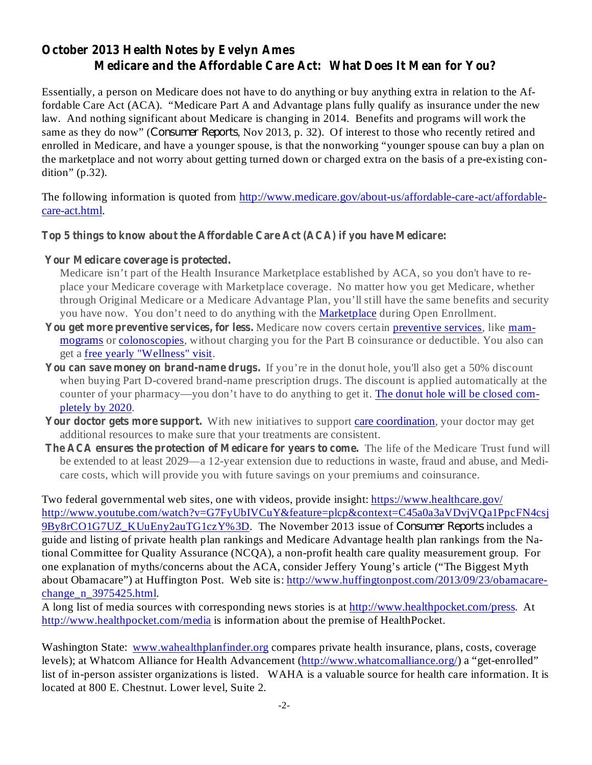# **October 2013 Health Notes by Evelyn Ames Medicare and the Affordable Care Act: What Does It Mean for You?**

Essentially, a person on Medicare does not have to do anything or buy anything extra in relation to the Affordable Care Act (ACA). "Medicare Part A and Advantage plans fully qualify as insurance under the new law. And nothing significant about Medicare is changing in 2014. Benefits and programs will work the same as they do now" (*Consumer Reports*, Nov 2013, p. 32). Of interest to those who recently retired and enrolled in Medicare, and have a younger spouse, is that the nonworking "younger spouse can buy a plan on the marketplace and not worry about getting turned down or charged extra on the basis of a pre-existing condition" (p.32).

The following information is quoted from http://www.medicare.gov/about-us/affordable-care-act/affordablecare-act.html.

#### **Top 5 things to know about the Affordable Care Act (ACA) if you have Medicare:**

#### **Your Medicare coverage is protected.**

Medicare isn't part of the Health Insurance Marketplace established by ACA, so you don't have to replace your Medicare coverage with Marketplace coverage. No matter how you get Medicare, whether through Original Medicare or a Medicare Advantage Plan, you'll still have the same benefits and security you have now. You don't need to do anything with the **Marketplace** during Open Enrollment.

- You get more preventive services, for less. Medicare now covers certain preventive services, like mammograms or colonoscopies, without charging you for the Part B coinsurance or deductible. You also can get a free yearly "Wellness" visit.
- You can save money on brand-name drugs. If you're in the donut hole, you'll also get a 50% discount when buying Part D-covered brand-name prescription drugs. The discount is applied automatically at the counter of your pharmacy—you don't have to do anything to get it. The donut hole will be closed completely by 2020.
- Your **doctor gets more support.** With new initiatives to support care coordination, your doctor may get additional resources to make sure that your treatments are consistent.
- The ACA ensures the protection of Medicare for years to come. The life of the Medicare Trust fund will be extended to at least 2029—a 12-year extension due to reductions in waste, fraud and abuse, and Medicare costs, which will provide you with future savings on your premiums and coinsurance.

Two federal governmental web sites, one with videos, provide insight: https://www.healthcare.gov/ http://www.youtube.com/watch?v=G7FyUbIVCuY&feature=plcp&context=C45a0a3aVDvjVQa1PpcFN4csj 9By8rCO1G7UZ\_KUuEny2auTG1czY%3D. The November 2013 issue of *Consumer Reports* includes a guide and listing of private health plan rankings and Medicare Advantage health plan rankings from the National Committee for Quality Assurance (NCQA), a non-profit health care quality measurement group. For one explanation of myths/concerns about the ACA, consider Jeffery Young's article ("The Biggest Myth about Obamacare") at Huffington Post. Web site is: http://www.huffingtonpost.com/2013/09/23/obamacarechange n 3975425.html.

A long list of media sources with corresponding news stories is at http://www.healthpocket.com/press. At http://www.healthpocket.com/media is information about the premise of HealthPocket.

Washington State: www.wahealthplanfinder.org compares private health insurance, plans, costs, coverage levels); at Whatcom Alliance for Health Advancement (http://www.whatcomalliance.org/) a "get-enrolled" list of in-person assister organizations is listed. WAHA is a valuable source for health care information. It is located at 800 E. Chestnut. Lower level, Suite 2.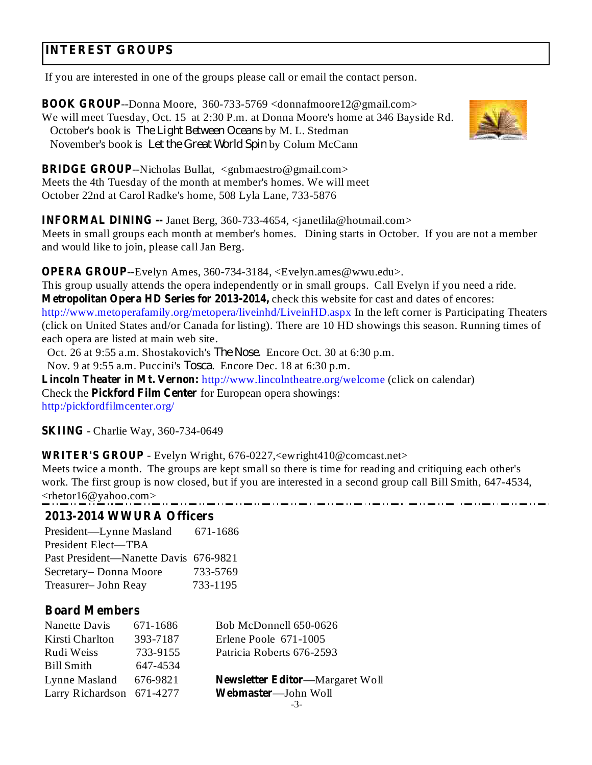# **INTEREST GROUPS**

If you are interested in one of the groups please call or email the contact person.

**BOOK GROUP** --Donna Moore, 360-733-5769 <donnafmoore12@gmail.com> We will meet Tuesday, Oct. 15 at 2:30 P.m. at Donna Moore's home at 346 Bayside Rd. October's book is *The Light Between Oceans* by M. L. Stedman November's book is Let the Great World Spin by Colum McCann



**BRIDGE GROUP** --Nicholas Bullat, <gnbmaestro@gmail.com> Meets the 4th Tuesday of the month at member's homes. We will meet October 22nd at Carol Radke's home, 508 Lyla Lane, 733-5876

**INFORMAL DINING --** Janet Berg, 360-733-4654, <janetlila@hotmail.com>

Meets in small groups each month at member's homes. Dining starts in October. If you are not a member and would like to join, please call Jan Berg.

**OPERA GROUP**--Evelyn Ames, 360-734-3184, <Evelyn.ames@wwu.edu>.

**Metropolitan Opera HD Series for 2013-2014,** check this website for cast and dates of encores: This group usually attends the opera independently or in small groups. Call Evelyn if you need a ride. http://www.metoperafamily.org/metopera/liveinhd/LiveinHD.aspx In the left corner is Participating Theaters (click on United States and/or Canada for listing). There are 10 HD showings this season. Running times of each opera are listed at main web site.

Oct. 26 at 9:55 a.m. Shostakovich's *The Nose*. Encore Oct. 30 at 6:30 p.m.

Nov. 9 at 9:55 a.m. Puccini's *Tosca*. Encore Dec. 18 at 6:30 p.m.

**Lincoln Theater in Mt. Vernon:** http://www.lincolntheatre.org/welcome (click on calendar) Check the **Pickford Film Center** for European opera showings: http:/pickfordfilmcenter.org/

**SKIING** - Charlie Way, 360-734-0649

**WRITER'S GROUP** - Evelyn Wright, 676-0227,<ewright410@comcast.net>

Meets twice a month. The groups are kept small so there is time for reading and critiquing each other's work. The first group is now closed, but if you are interested in a second group call Bill Smith, 647-4534, <rhetor16@yahoo.com>

### **2013-2014 WWURA Officers**

President—Lynne Masland 671-1686 President Elect—TBA Past President—Nanette Davis 676-9821 Secretary– Donna Moore 733-5769 Treasurer– John Reay 733-1195

### **Board Members**

| Nanette Davis             | 671-1686 | Bob McDonnell 650-0626                 |
|---------------------------|----------|----------------------------------------|
| Kirsti Charlton           | 393-7187 | Erlene Poole 671-1005                  |
| Rudi Weiss                | 733-9155 | Patricia Roberts 676-2593              |
| <b>Bill Smith</b>         | 647-4534 |                                        |
| Lynne Masland             | 676-9821 | <b>Newsletter Editor—Margaret Woll</b> |
| Larry Richardson 671-4277 |          | Webmaster-John Woll                    |
|                           |          |                                        |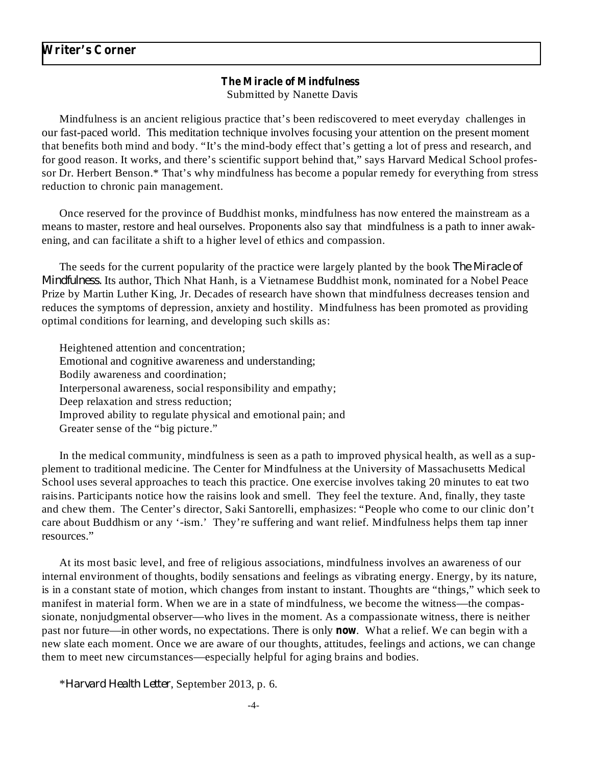#### **The Miracle of Mindfulness**

Submitted by Nanette Davis

Mindfulness is an ancient religious practice that's been rediscovered to meet everyday challenges in our fast-paced world. This meditation technique involves focusing your attention on the present moment that benefits both mind and body. "It's the mind-body effect that's getting a lot of press and research, and for good reason. It works, and there's scientific support behind that," says Harvard Medical School professor Dr. Herbert Benson.\* That's why mindfulness has become a popular remedy for everything from stress reduction to chronic pain management.

Once reserved for the province of Buddhist monks, mindfulness has now entered the mainstream as a means to master, restore and heal ourselves. Proponents also say that mindfulness is a path to inner awakening, and can facilitate a shift to a higher level of ethics and compassion.

The seeds for the current popularity of the practice were largely planted by the book *The Miracle of Mindfulness.* Its author, Thich Nhat Hanh, is a Vietnamese Buddhist monk, nominated for a Nobel Peace Prize by Martin Luther King, Jr. Decades of research have shown that mindfulness decreases tension and reduces the symptoms of depression, anxiety and hostility. Mindfulness has been promoted as providing optimal conditions for learning, and developing such skills as:

Heightened attention and concentration; Emotional and cognitive awareness and understanding; Bodily awareness and coordination; Interpersonal awareness, social responsibility and empathy; Deep relaxation and stress reduction; Improved ability to regulate physical and emotional pain; and Greater sense of the "big picture."

In the medical community, mindfulness is seen as a path to improved physical health, as well as a supplement to traditional medicine. The Center for Mindfulness at the University of Massachusetts Medical School uses several approaches to teach this practice. One exercise involves taking 20 minutes to eat two raisins. Participants notice how the raisins look and smell. They feel the texture. And, finally, they taste and chew them. The Center's director, Saki Santorelli, emphasizes: "People who come to our clinic don't care about Buddhism or any '-ism.' They're suffering and want relief. Mindfulness helps them tap inner resources."

At its most basic level, and free of religious associations, mindfulness involves an awareness of our internal environment of thoughts, bodily sensations and feelings as vibrating energy. Energy, by its nature, is in a constant state of motion, which changes from instant to instant. Thoughts are "things," which seek to manifest in material form. When we are in a state of mindfulness, we become the witness—the compassionate, nonjudgmental observer—who lives in the moment. As a compassionate witness, there is neither past nor future—in other words, no expectations. There is only now. What a relief. We can begin with a new slate each moment. Once we are aware of our thoughts, attitudes, feelings and actions, we can change them to meet new circumstances—especially helpful for aging brains and bodies.

\*Harvard Health Letter, September 2013, p. 6.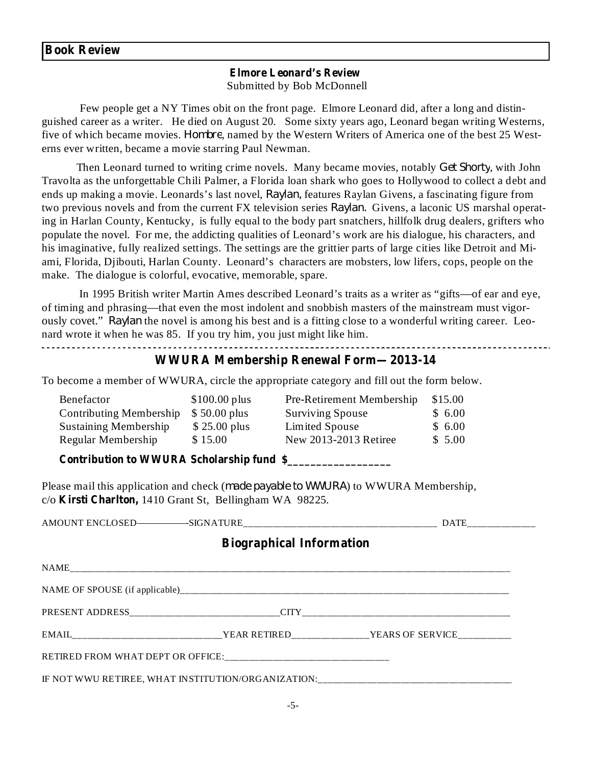#### **Book Review**

#### Submitted by Bob McDonnell **Elmore Leonard's Review**

Few people get a NY Times obit on the front page. Elmore Leonard did, after a long and distinguished career as a writer. He died on August 20. Some sixty years ago, Leonard began writing Westerns, five of which became movies. *Hombre*, named by the Western Writers of America one of the best 25 Westerns ever written, became a movie starring Paul Newman.

Then Leonard turned to writing crime novels. Many became movies, notably Get Shorty, with John Travolta as the unforgettable Chili Palmer, a Florida loan shark who goes to Hollywood to collect a debt and ends up making a movie. Leonards's last novel, *Raylan*, features Raylan Givens, a fascinating figure from two previous novels and from the current FX television series Raylan. Givens, a laconic US marshal operating in Harlan County, Kentucky, is fully equal to the body part snatchers, hillfolk drug dealers, grifters who populate the novel. For me, the addicting qualities of Leonard's work are his dialogue, his characters, and his imaginative, fully realized settings. The settings are the grittier parts of large cities like Detroit and Miami, Florida, Djibouti, Harlan County. Leonard's characters are mobsters, low lifers, cops, people on the make. The dialogue is colorful, evocative, memorable, spare.

In 1995 British writer Martin Ames described Leonard's traits as a writer as "gifts—of ear and eye, of timing and phrasing—that even the most indolent and snobbish masters of the mainstream must vigorously covet." Raylan the novel is among his best and is a fitting close to a wonderful writing career. Leonard wrote it when he was 85. If you try him, you just might like him.

## **WWURA Membership Renewal Form—2013-14**

To become a member of WWURA, circle the appropriate category and fill out the form below.

| Benefactor                   | $$100.00$ plus | Pre-Retirement Membership | \$15.00 |
|------------------------------|----------------|---------------------------|---------|
| Contributing Membership      | $$50.00$ plus  | <b>Surviving Spouse</b>   | \$6.00  |
| <b>Sustaining Membership</b> | $$25.00$ plus  | Limited Spouse            | \$6.00  |
| Regular Membership           | \$15.00        | New 2013-2013 Retiree     | \$5.00  |
|                              |                |                           |         |

**Contribution to WWURA Scholarship fund \$\_\_\_\_\_\_\_\_\_\_\_\_\_\_\_\_\_\_**

Please mail this application and check (*made payable to WWURA*) to WWURA Membership, c/o Kirsti Charlton, 1410 Grant St, Bellingham WA 98225.

| <b>Biographical Information</b> |  |                                                                                               |  |  |  |
|---------------------------------|--|-----------------------------------------------------------------------------------------------|--|--|--|
|                                 |  |                                                                                               |  |  |  |
|                                 |  |                                                                                               |  |  |  |
|                                 |  |                                                                                               |  |  |  |
|                                 |  | EMAIL_______________________________YEAR RETIRED_________________YEARS OF SERVICE____________ |  |  |  |
|                                 |  |                                                                                               |  |  |  |
|                                 |  | IF NOT WWU RETIREE, WHAT INSTITUTION/ORGANIZATION:______________________________              |  |  |  |